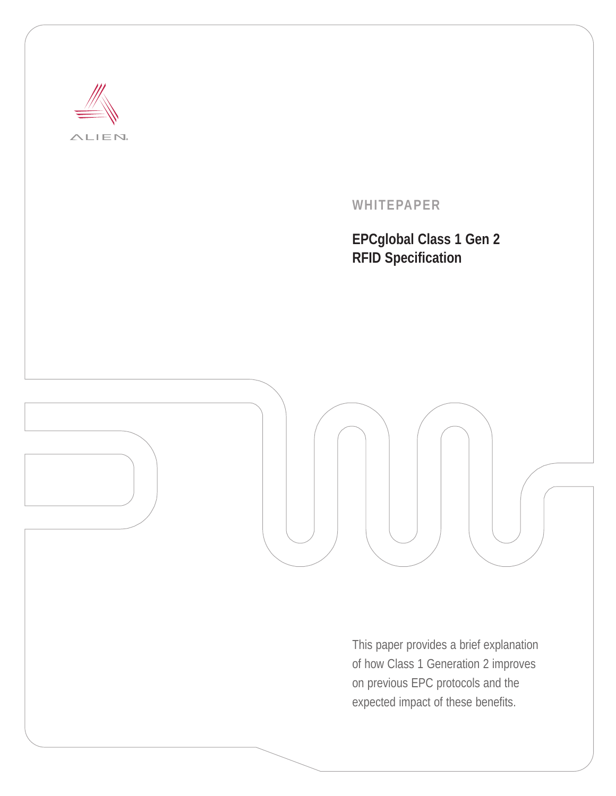

**WHITEPAPER**

**EPCglobal Class 1 Gen 2 RFID Specification**



This paper provides a brief explanation of how Class 1 Generation 2 improves on previous EPC protocols and the expected impact of these benefits.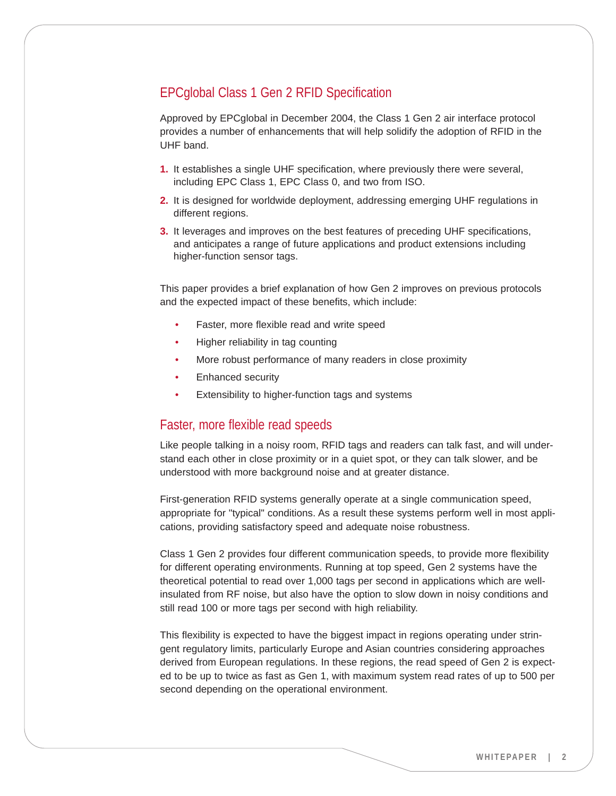# EPCglobal Class 1 Gen 2 RFID Specification

Approved by EPCglobal in December 2004, the Class 1 Gen 2 air interface protocol provides a number of enhancements that will help solidify the adoption of RFID in the UHF band.

- **1.** It establishes a single UHF specification, where previously there were several, including EPC Class 1, EPC Class 0, and two from ISO.
- **2.** It is designed for worldwide deployment, addressing emerging UHF regulations in different regions.
- **3.** It leverages and improves on the best features of preceding UHF specifications, and anticipates a range of future applications and product extensions including higher-function sensor tags.

This paper provides a brief explanation of how Gen 2 improves on previous protocols and the expected impact of these benefits, which include:

- Faster, more flexible read and write speed
- Higher reliability in tag counting
- More robust performance of many readers in close proximity
- Enhanced security
- Extensibility to higher-function tags and systems

#### Faster, more flexible read speeds

Like people talking in a noisy room, RFID tags and readers can talk fast, and will understand each other in close proximity or in a quiet spot, or they can talk slower, and be understood with more background noise and at greater distance.

First-generation RFID systems generally operate at a single communication speed, appropriate for "typical" conditions. As a result these systems perform well in most applications, providing satisfactory speed and adequate noise robustness.

Class 1 Gen 2 provides four different communication speeds, to provide more flexibility for different operating environments. Running at top speed, Gen 2 systems have the theoretical potential to read over 1,000 tags per second in applications which are wellinsulated from RF noise, but also have the option to slow down in noisy conditions and still read 100 or more tags per second with high reliability.

This flexibility is expected to have the biggest impact in regions operating under stringent regulatory limits, particularly Europe and Asian countries considering approaches derived from European regulations. In these regions, the read speed of Gen 2 is expected to be up to twice as fast as Gen 1, with maximum system read rates of up to 500 per second depending on the operational environment.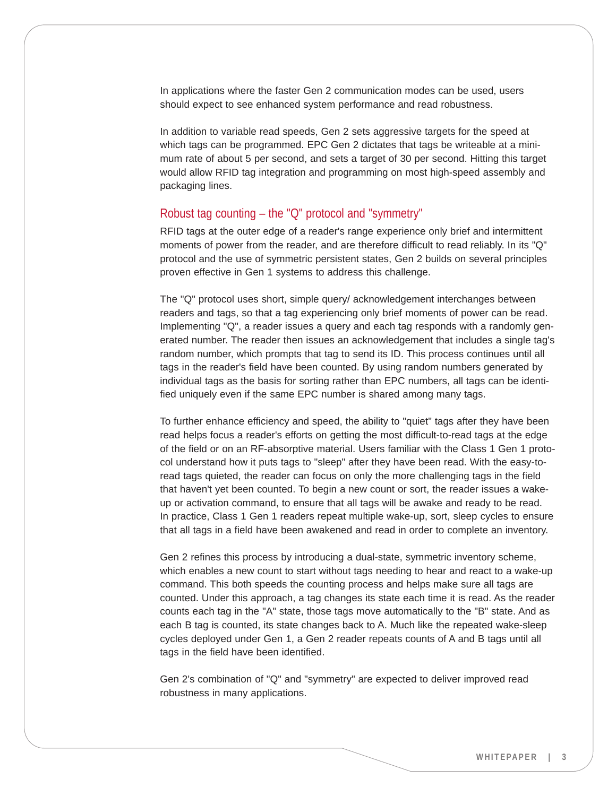In applications where the faster Gen 2 communication modes can be used, users should expect to see enhanced system performance and read robustness.

In addition to variable read speeds, Gen 2 sets aggressive targets for the speed at which tags can be programmed. EPC Gen 2 dictates that tags be writeable at a minimum rate of about 5 per second, and sets a target of 30 per second. Hitting this target would allow RFID tag integration and programming on most high-speed assembly and packaging lines.

## Robust tag counting – the "Q" protocol and "symmetry"

RFID tags at the outer edge of a reader's range experience only brief and intermittent moments of power from the reader, and are therefore difficult to read reliably. In its "Q" protocol and the use of symmetric persistent states, Gen 2 builds on several principles proven effective in Gen 1 systems to address this challenge.

The "Q" protocol uses short, simple query/ acknowledgement interchanges between readers and tags, so that a tag experiencing only brief moments of power can be read. Implementing "Q", a reader issues a query and each tag responds with a randomly generated number. The reader then issues an acknowledgement that includes a single tag's random number, which prompts that tag to send its ID. This process continues until all tags in the reader's field have been counted. By using random numbers generated by individual tags as the basis for sorting rather than EPC numbers, all tags can be identified uniquely even if the same EPC number is shared among many tags.

To further enhance efficiency and speed, the ability to "quiet" tags after they have been read helps focus a reader's efforts on getting the most difficult-to-read tags at the edge of the field or on an RF-absorptive material. Users familiar with the Class 1 Gen 1 protocol understand how it puts tags to "sleep" after they have been read. With the easy-toread tags quieted, the reader can focus on only the more challenging tags in the field that haven't yet been counted. To begin a new count or sort, the reader issues a wakeup or activation command, to ensure that all tags will be awake and ready to be read. In practice, Class 1 Gen 1 readers repeat multiple wake-up, sort, sleep cycles to ensure that all tags in a field have been awakened and read in order to complete an inventory.

Gen 2 refines this process by introducing a dual-state, symmetric inventory scheme, which enables a new count to start without tags needing to hear and react to a wake-up command. This both speeds the counting process and helps make sure all tags are counted. Under this approach, a tag changes its state each time it is read. As the reader counts each tag in the "A" state, those tags move automatically to the "B" state. And as each B tag is counted, its state changes back to A. Much like the repeated wake-sleep cycles deployed under Gen 1, a Gen 2 reader repeats counts of A and B tags until all tags in the field have been identified.

Gen 2's combination of "Q" and "symmetry" are expected to deliver improved read robustness in many applications.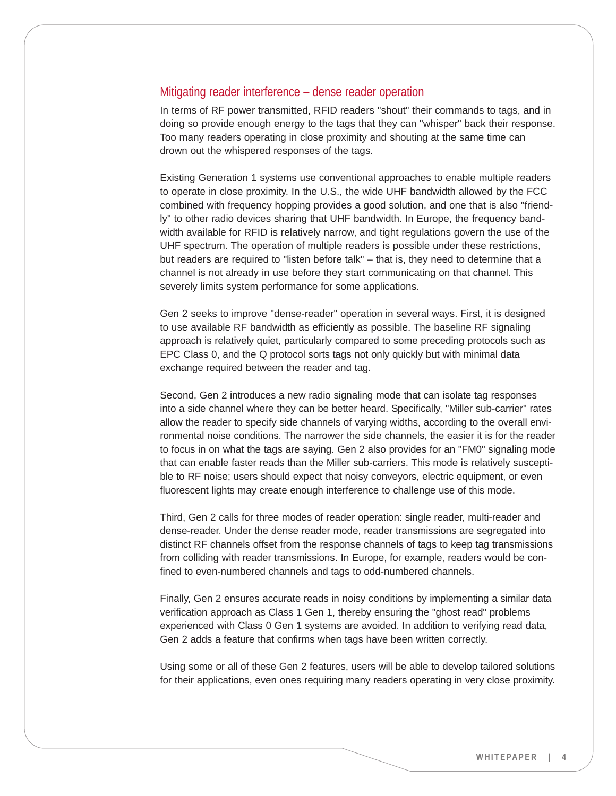#### Mitigating reader interference – dense reader operation

In terms of RF power transmitted, RFID readers "shout" their commands to tags, and in doing so provide enough energy to the tags that they can "whisper" back their response. Too many readers operating in close proximity and shouting at the same time can drown out the whispered responses of the tags.

Existing Generation 1 systems use conventional approaches to enable multiple readers to operate in close proximity. In the U.S., the wide UHF bandwidth allowed by the FCC combined with frequency hopping provides a good solution, and one that is also "friendly" to other radio devices sharing that UHF bandwidth. In Europe, the frequency bandwidth available for RFID is relatively narrow, and tight regulations govern the use of the UHF spectrum. The operation of multiple readers is possible under these restrictions, but readers are required to "listen before talk" – that is, they need to determine that a channel is not already in use before they start communicating on that channel. This severely limits system performance for some applications.

Gen 2 seeks to improve "dense-reader" operation in several ways. First, it is designed to use available RF bandwidth as efficiently as possible. The baseline RF signaling approach is relatively quiet, particularly compared to some preceding protocols such as EPC Class 0, and the Q protocol sorts tags not only quickly but with minimal data exchange required between the reader and tag.

Second, Gen 2 introduces a new radio signaling mode that can isolate tag responses into a side channel where they can be better heard. Specifically, "Miller sub-carrier" rates allow the reader to specify side channels of varying widths, according to the overall environmental noise conditions. The narrower the side channels, the easier it is for the reader to focus in on what the tags are saying. Gen 2 also provides for an "FM0" signaling mode that can enable faster reads than the Miller sub-carriers. This mode is relatively susceptible to RF noise; users should expect that noisy conveyors, electric equipment, or even fluorescent lights may create enough interference to challenge use of this mode.

Third, Gen 2 calls for three modes of reader operation: single reader, multi-reader and dense-reader. Under the dense reader mode, reader transmissions are segregated into distinct RF channels offset from the response channels of tags to keep tag transmissions from colliding with reader transmissions. In Europe, for example, readers would be confined to even-numbered channels and tags to odd-numbered channels.

Finally, Gen 2 ensures accurate reads in noisy conditions by implementing a similar data verification approach as Class 1 Gen 1, thereby ensuring the "ghost read" problems experienced with Class 0 Gen 1 systems are avoided. In addition to verifying read data, Gen 2 adds a feature that confirms when tags have been written correctly.

Using some or all of these Gen 2 features, users will be able to develop tailored solutions for their applications, even ones requiring many readers operating in very close proximity.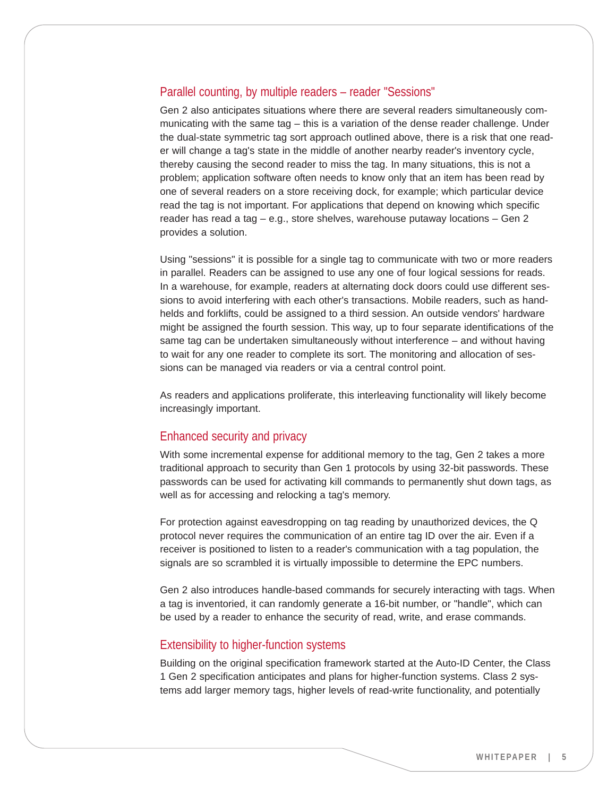# Parallel counting, by multiple readers – reader "Sessions"

Gen 2 also anticipates situations where there are several readers simultaneously communicating with the same tag – this is a variation of the dense reader challenge. Under the dual-state symmetric tag sort approach outlined above, there is a risk that one reader will change a tag's state in the middle of another nearby reader's inventory cycle, thereby causing the second reader to miss the tag. In many situations, this is not a problem; application software often needs to know only that an item has been read by one of several readers on a store receiving dock, for example; which particular device read the tag is not important. For applications that depend on knowing which specific reader has read a tag – e.g., store shelves, warehouse putaway locations – Gen 2 provides a solution.

Using "sessions" it is possible for a single tag to communicate with two or more readers in parallel. Readers can be assigned to use any one of four logical sessions for reads. In a warehouse, for example, readers at alternating dock doors could use different sessions to avoid interfering with each other's transactions. Mobile readers, such as handhelds and forklifts, could be assigned to a third session. An outside vendors' hardware might be assigned the fourth session. This way, up to four separate identifications of the same tag can be undertaken simultaneously without interference – and without having to wait for any one reader to complete its sort. The monitoring and allocation of sessions can be managed via readers or via a central control point.

As readers and applications proliferate, this interleaving functionality will likely become increasingly important.

### Enhanced security and privacy

With some incremental expense for additional memory to the tag, Gen 2 takes a more traditional approach to security than Gen 1 protocols by using 32-bit passwords. These passwords can be used for activating kill commands to permanently shut down tags, as well as for accessing and relocking a tag's memory.

For protection against eavesdropping on tag reading by unauthorized devices, the Q protocol never requires the communication of an entire tag ID over the air. Even if a receiver is positioned to listen to a reader's communication with a tag population, the signals are so scrambled it is virtually impossible to determine the EPC numbers.

Gen 2 also introduces handle-based commands for securely interacting with tags. When a tag is inventoried, it can randomly generate a 16-bit number, or "handle", which can be used by a reader to enhance the security of read, write, and erase commands.

## Extensibility to higher-function systems

Building on the original specification framework started at the Auto-ID Center, the Class 1 Gen 2 specification anticipates and plans for higher-function systems. Class 2 systems add larger memory tags, higher levels of read-write functionality, and potentially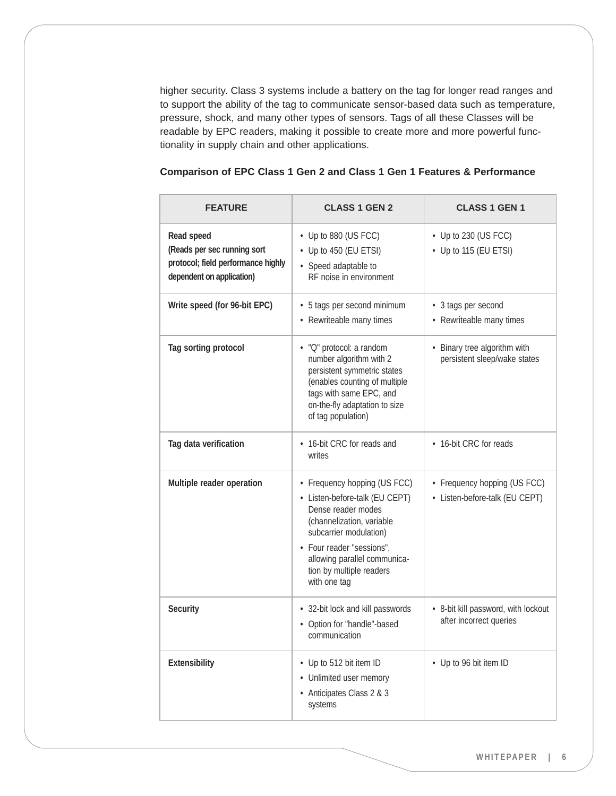higher security. Class 3 systems include a battery on the tag for longer read ranges and to support the ability of the tag to communicate sensor-based data such as temperature, pressure, shock, and many other types of sensors. Tags of all these Classes will be readable by EPC readers, making it possible to create more and more powerful functionality in supply chain and other applications.

| Comparison of EPC Class 1 Gen 2 and Class 1 Gen 1 Features & Performance |  |  |  |
|--------------------------------------------------------------------------|--|--|--|
|--------------------------------------------------------------------------|--|--|--|

| <b>FEATURE</b>                                                                                               | <b>CLASS 1 GEN 2</b>                                                                                                                                                                                                                                 | <b>CLASS 1 GEN 1</b>                                           |
|--------------------------------------------------------------------------------------------------------------|------------------------------------------------------------------------------------------------------------------------------------------------------------------------------------------------------------------------------------------------------|----------------------------------------------------------------|
| Read speed<br>(Reads per sec running sort<br>protocol; field performance highly<br>dependent on application) | • Up to 880 (US FCC)<br>• Up to 450 (EU ETSI)<br>• Speed adaptable to<br>RF noise in environment                                                                                                                                                     | $\cdot$ Up to 230 (US FCC)<br>• Up to 115 (EU ETSI)            |
| Write speed (for 96-bit EPC)                                                                                 | • 5 tags per second minimum<br>• Rewriteable many times                                                                                                                                                                                              | • 3 tags per second<br>• Rewriteable many times                |
| Tag sorting protocol                                                                                         | • "Q" protocol: a random<br>number algorithm with 2<br>persistent symmetric states<br>(enables counting of multiple<br>tags with same EPC, and<br>on-the-fly adaptation to size<br>of tag population)                                                | • Binary tree algorithm with<br>persistent sleep/wake states   |
| Tag data verification                                                                                        | • 16-bit CRC for reads and<br>writes                                                                                                                                                                                                                 | • 16-bit CRC for reads                                         |
| Multiple reader operation                                                                                    | • Frequency hopping (US FCC)<br>• Listen-before-talk (EU CEPT)<br>Dense reader modes<br>(channelization, variable<br>subcarrier modulation)<br>· Four reader "sessions",<br>allowing parallel communica-<br>tion by multiple readers<br>with one tag | • Frequency hopping (US FCC)<br>• Listen-before-talk (EU CEPT) |
| Security                                                                                                     | • 32-bit lock and kill passwords<br>• Option for "handle"-based<br>communication                                                                                                                                                                     | • 8-bit kill password, with lockout<br>after incorrect queries |
| Extensibility                                                                                                | • Up to 512 bit item ID<br>• Unlimited user memory<br>• Anticipates Class 2 & 3<br>systems                                                                                                                                                           | • Up to 96 bit item ID                                         |